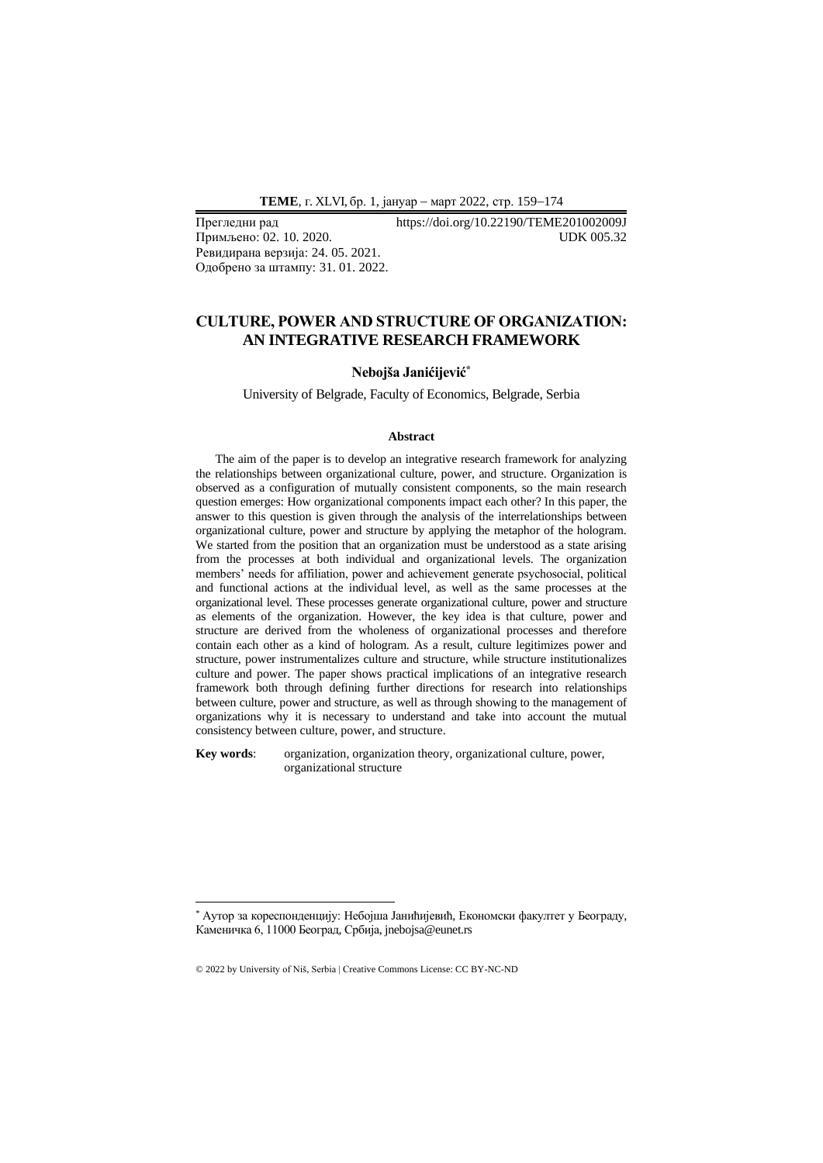**ТEME**, г. XLVI, бр. 1, јануар − март 2022, стр. 159−174

Примљено: 02. 10. 2020. Ревидирана верзија: 24. 05. 2021. Одобрено за штампу: 31. 01. 2022.

Прегледни рад https://doi.org/10.22190/TEME201002009J

## **CULTURE, POWER AND STRUCTURE OF ORGANIZATION: AN INTEGRATIVE RESEARCH FRAMEWORK**

#### **Nebojša Janićijević\***

University of Belgrade, Faculty of Economics, Belgrade, Serbia

#### **Abstract**

The aim of the paper is to develop an integrative research framework for analyzing the relationships between organizational culture, power, and structure. Organization is observed as a configuration of mutually consistent components, so the main research question emerges: How organizational components impact each other? In this paper, the answer to this question is given through the analysis of the interrelationships between organizational culture, power and structure by applying the metaphor of the hologram. We started from the position that an organization must be understood as a state arising from the processes at both individual and organizational levels. The organization members' needs for affiliation, power and achievement generate psychosocial, political and functional actions at the individual level, as well as the same processes at the organizational level. These processes generate organizational culture, power and structure as elements of the organization. However, the key idea is that culture, power and structure are derived from the wholeness of organizational processes and therefore contain each other as a kind of hologram. As a result, culture legitimizes power and structure, power instrumentalizes culture and structure, while structure institutionalizes culture and power. The paper shows practical implications of an integrative research framework both through defining further directions for research into relationships between culture, power and structure, as well as through showing to the management of organizations why it is necessary to understand and take into account the mutual consistency between culture, power, and structure.

**Key words**: organization, organization theory, organizational culture, power, organizational structure

<sup>\*</sup> Аутор за кореспонденцију: Небојша Јанићијевић, Економски факултет у Београду, Каменичка 6, 11000 Београд, Србија, jnebojsa@eunet.rs

<sup>© 2022</sup> by University of Niš, Serbia | Creative Commons License: CC BY-NC-ND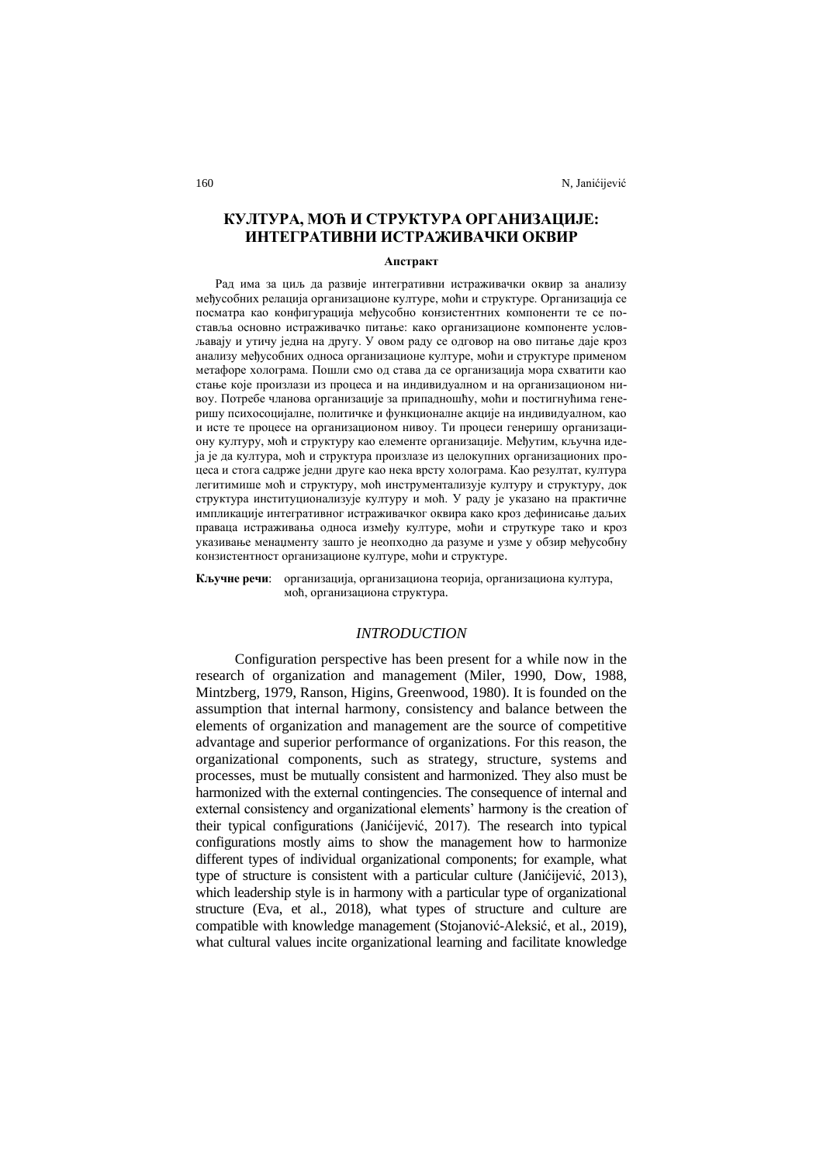# **КУЛТУРА, МОЋ И СТРУКТУРА ОРГАНИЗАЦИЈЕ: ИНТЕГРАТИВНИ ИСТРАЖИВАЧКИ ОКВИР**

#### **Апстракт**

Рад има за циљ да развије интегративни истраживачки оквир за анализу међусобних релација организационе културе, моћи и структуре. Организација се посматра као конфигурација међусобно конзистентних компоненти те се поставља основно истраживачко питање: како организационе компоненте условљавају и утичу једна на другу. У овом раду се одговор на ово питање даје кроз анализу међусобних односа организационе културе, моћи и структуре применом метафоре холограма. Пошли смо од става да се организација мора схватити као стање које произлази из процеса и на индивидуалном и на организационом нивоу. Потребе чланова организације за припадношћу, моћи и постигнућима генеришу психосоцијалне, политичке и функционалне акције на индивидуалном, као и исте те процесе на организационом нивоу. Ти процеси генеришу организациону културу, моћ и структуру као елементе организације. Међутим, кључна идеја је да култура, моћ и структура произлазе из целокупних организационих процеса и стога садрже једни друге као нека врсту холограма. Као резултат, култура легитимише моћ и структуру, моћ инструментализује културу и структуру, док структура институционализује културу и моћ. У раду је указано на практичне импликације интегративног истраживачког оквира како кроз дефинисање даљих праваца истраживања односа између културе, моћи и струткуре тако и кроз указивање менаџменту зашто је неопходно да разуме и узме у обзир међусобну конзистентност организационе културе, моћи и структуре.

**Кључне речи**: организација, организациона теорија, организациона култура, моћ, организациона структура.

## *INTRODUCTION*

Configuration perspective has been present for a while now in the research of organization and management (Miler, 1990, Dow, 1988, Mintzberg, 1979, Ranson, Higins, Greenwood, 1980). It is founded on the assumption that internal harmony, consistency and balance between the elements of organization and management are the source of competitive advantage and superior performance of organizations. For this reason, the organizational components, such as strategy, structure, systems and processes, must be mutually consistent and harmonized. They also must be harmonized with the external contingencies. The consequence of internal and external consistency and organizational elements' harmony is the creation of their typical configurations (Janićijević, 2017). The research into typical configurations mostly aims to show the management how to harmonize different types of individual organizational components; for example, what type of structure is consistent with a particular culture (Janićijević, 2013), which leadership style is in harmony with a particular type of organizational structure (Eva, et al., 2018), what types of structure and culture are compatible with knowledge management [\(Stojanović-Aleksić, e](https://www.emerald.com/insight/search?q=Vesna%20Stojanovi%C4%87-Aleksi%C4%87)t al., 2019), what cultural values incite organizational learning and facilitate knowledge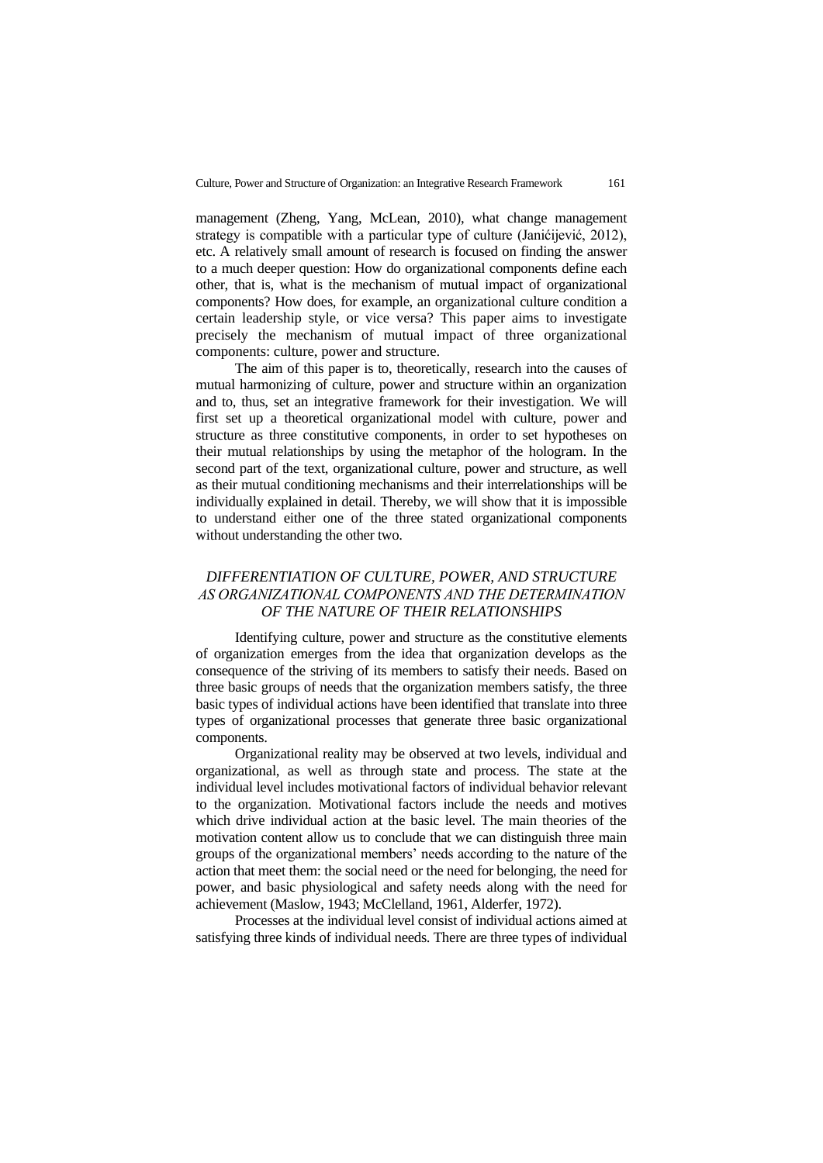management (Zheng, Yang, McLean, 2010), what change management strategy is compatible with a particular type of culture (Janićijević, 2012), etc. A relatively small amount of research is focused on finding the answer to a much deeper question: How do organizational components define each other, that is, what is the mechanism of mutual impact of organizational components? How does, for example, an organizational culture condition a certain leadership style, or vice versa? This paper aims to investigate precisely the mechanism of mutual impact of three organizational components: culture, power and structure.

The aim of this paper is to, theoretically, research into the causes of mutual harmonizing of culture, power and structure within an organization and to, thus, set an integrative framework for their investigation. We will first set up a theoretical organizational model with culture, power and structure as three constitutive components, in order to set hypotheses on their mutual relationships by using the metaphor of the hologram. In the second part of the text, organizational culture, power and structure, as well as their mutual conditioning mechanisms and their interrelationships will be individually explained in detail. Thereby, we will show that it is impossible to understand either one of the three stated organizational components without understanding the other two.

## *DIFFERENTIATION OF CULTURE, POWER, AND STRUCTURE AS ORGANIZATIONAL COMPONENTS AND THE DETERMINATION OF THE NATURE OF THEIR RELATIONSHIPS*

Identifying culture, power and structure as the constitutive elements of organization emerges from the idea that organization develops as the consequence of the striving of its members to satisfy their needs. Based on three basic groups of needs that the organization members satisfy, the three basic types of individual actions have been identified that translate into three types of organizational processes that generate three basic organizational components.

Organizational reality may be observed at two levels, individual and organizational, as well as through state and process. The state at the individual level includes motivational factors of individual behavior relevant to the organization. Motivational factors include the needs and motives which drive individual action at the basic level. The main theories of the motivation content allow us to conclude that we can distinguish three main groups of the organizational members' needs according to the nature of the action that meet them: the social need or the need for belonging, the need for power, and basic physiological and safety needs along with the need for achievement (Maslow, 1943; McClelland, 1961, Alderfer, 1972).

Processes at the individual level consist of individual actions aimed at satisfying three kinds of individual needs. There are three types of individual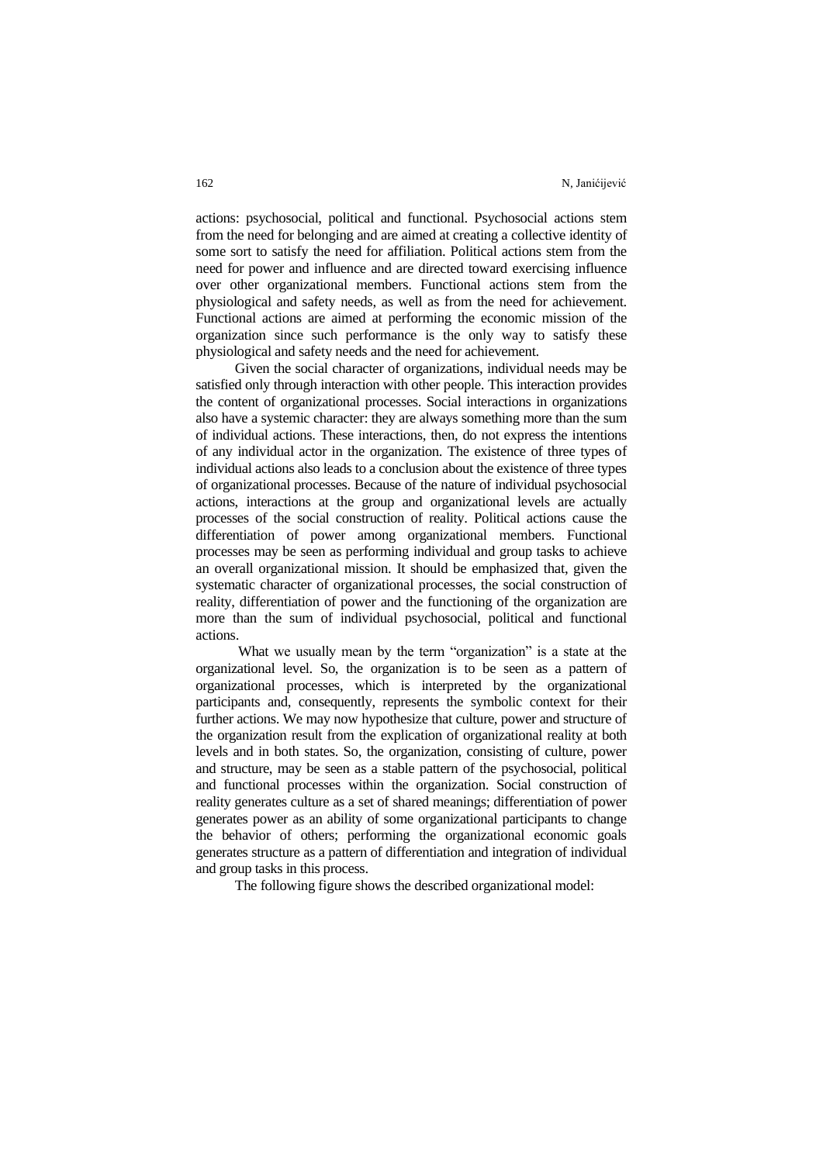actions: psychosocial, political and functional. Psychosocial actions stem from the need for belonging and are aimed at creating a collective identity of some sort to satisfy the need for affiliation. Political actions stem from the need for power and influence and are directed toward exercising influence over other organizational members. Functional actions stem from the physiological and safety needs, as well as from the need for achievement. Functional actions are aimed at performing the economic mission of the organization since such performance is the only way to satisfy these physiological and safety needs and the need for achievement.

Given the social character of organizations, individual needs may be satisfied only through interaction with other people. This interaction provides the content of organizational processes. Social interactions in organizations also have a systemic character: they are always something more than the sum of individual actions. These interactions, then, do not express the intentions of any individual actor in the organization. The existence of three types of individual actions also leads to a conclusion about the existence of three types of organizational processes. Because of the nature of individual psychosocial actions, interactions at the group and organizational levels are actually processes of the social construction of reality. Political actions cause the differentiation of power among organizational members. Functional processes may be seen as performing individual and group tasks to achieve an overall organizational mission. It should be emphasized that, given the systematic character of organizational processes, the social construction of reality, differentiation of power and the functioning of the organization are more than the sum of individual psychosocial, political and functional actions.

What we usually mean by the term "organization" is a state at the organizational level. So, the organization is to be seen as a pattern of organizational processes, which is interpreted by the organizational participants and, consequently, represents the symbolic context for their further actions. We may now hypothesize that culture, power and structure of the organization result from the explication of organizational reality at both levels and in both states. So, the organization, consisting of culture, power and structure, may be seen as a stable pattern of the psychosocial, political and functional processes within the organization. Social construction of reality generates culture as a set of shared meanings; differentiation of power generates power as an ability of some organizational participants to change the behavior of others; performing the organizational economic goals generates structure as a pattern of differentiation and integration of individual and group tasks in this process.

The following figure shows the described organizational model: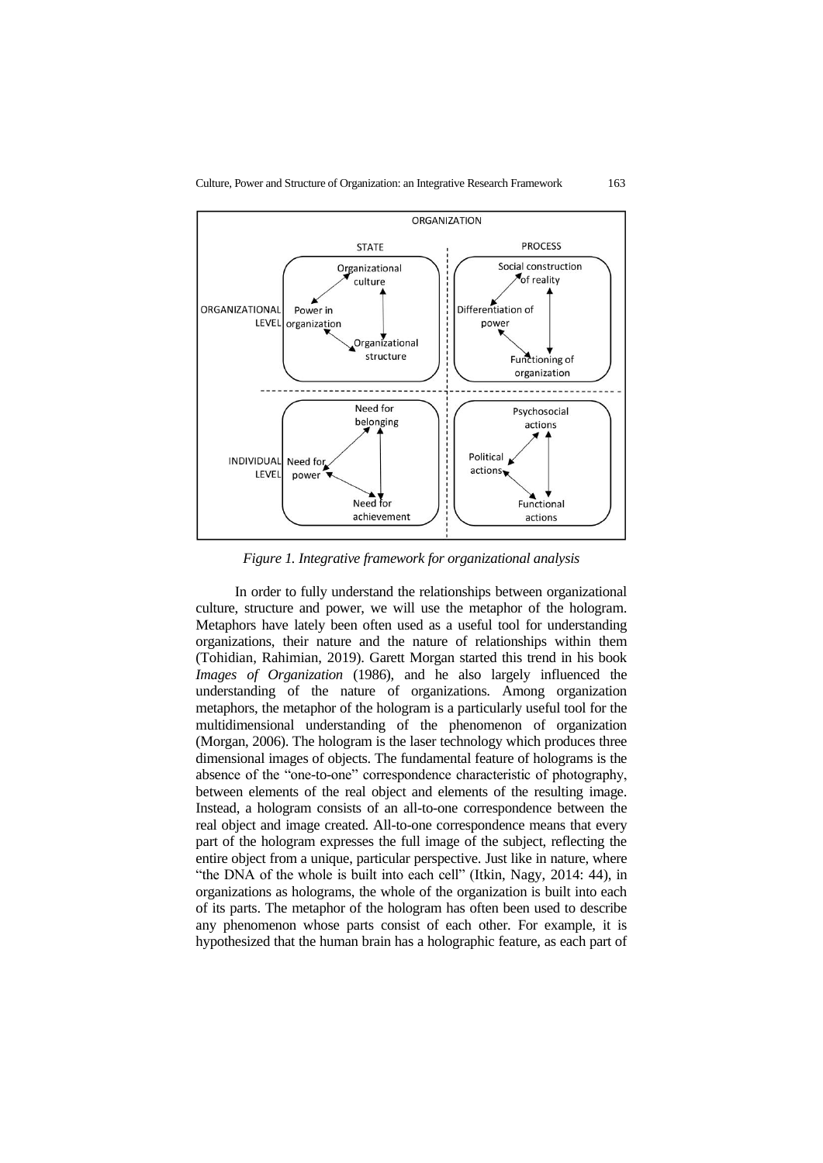

*Figure 1. Integrative framework for organizational analysis*

In order to fully understand the relationships between organizational culture, structure and power, we will use the metaphor of the hologram. Metaphors have lately been often used as a useful tool for understanding organizations, their nature and the nature of relationships within them (Tohidian, Rahimian, 2019). Garett Morgan started this trend in his book *Images of Organization* (1986), and he also largely influenced the understanding of the nature of organizations. Among organization metaphors, the metaphor of the hologram is a particularly useful tool for the multidimensional understanding of the phenomenon of organization (Morgan, 2006). The hologram is the laser technology which produces three dimensional images of objects. The fundamental feature of holograms is the absence of the "one-to-one" correspondence characteristic of photography, between elements of the real object and elements of the resulting image. Instead, a hologram consists of an all-to-one correspondence between the real object and image created. All-to-one correspondence means that every part of the hologram expresses the full image of the subject, reflecting the entire object from a unique, particular perspective. Just like in nature, where "the DNA of the whole is built into each cell" (Itkin, Nagy, 2014: 44), in organizations as holograms, the whole of the organization is built into each of its parts. The metaphor of the hologram has often been used to describe any phenomenon whose parts consist of each other. For example, it is hypothesized that the human brain has a holographic feature, as each part of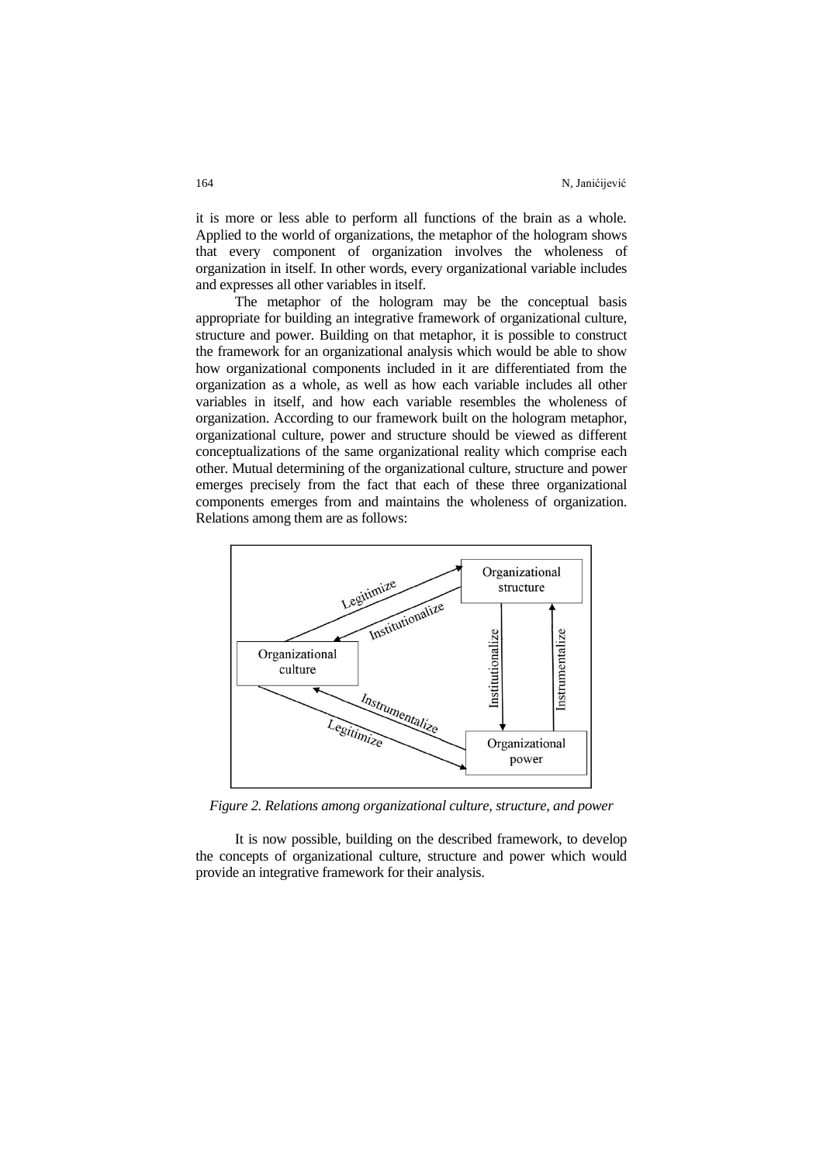it is more or less able to perform all functions of the brain as a whole. Applied to the world of organizations, the metaphor of the hologram shows that every component of organization involves the wholeness of organization in itself. In other words, every organizational variable includes and expresses all other variables in itself.

The metaphor of the hologram may be the conceptual basis appropriate for building an integrative framework of organizational culture, structure and power. Building on that metaphor, it is possible to construct the framework for an organizational analysis which would be able to show how organizational components included in it are differentiated from the organization as a whole, as well as how each variable includes all other variables in itself, and how each variable resembles the wholeness of organization. According to our framework built on the hologram metaphor, organizational culture, power and structure should be viewed as different conceptualizations of the same organizational reality which comprise each other. Mutual determining of the organizational culture, structure and power emerges precisely from the fact that each of these three organizational components emerges from and maintains the wholeness of organization. Relations among them are as follows:



*Figure 2. Relations among organizational culture, structure, and power*

It is now possible, building on the described framework, to develop the concepts of organizational culture, structure and power which would provide an integrative framework for their analysis.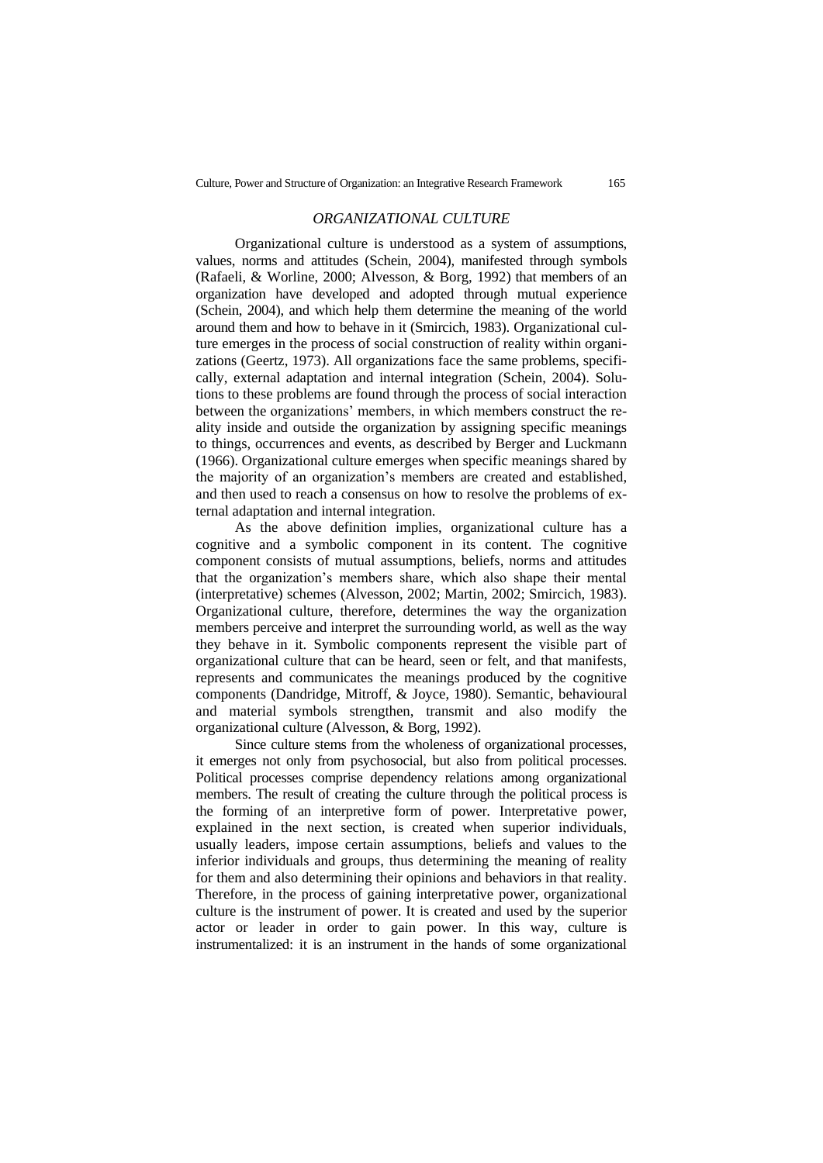#### *ORGANIZATIONAL CULTURE*

Organizational culture is understood as a system of assumptions, values, norms and attitudes (Schein, 2004), manifested through symbols (Rafaeli, & Worline, 2000; Alvesson, & Borg, 1992) that members of an organization have developed and adopted through mutual experience (Schein, 2004), and which help them determine the meaning of the world around them and how to behave in it (Smircich, 1983). Organizational culture emerges in the process of social construction of reality within organizations (Geertz, 1973). All organizations face the same problems, specifically, external adaptation and internal integration (Schein, 2004). Solutions to these problems are found through the process of social interaction between the organizations' members, in which members construct the reality inside and outside the organization by assigning specific meanings to things, occurrences and events, as described by Berger and Luckmann (1966). Organizational culture emerges when specific meanings shared by the majority of an organization's members are created and established, and then used to reach a consensus on how to resolve the problems of external adaptation and internal integration.

As the above definition implies, organizational culture has a cognitive and a symbolic component in its content. The cognitive component consists of mutual assumptions, beliefs, norms and attitudes that the organization's members share, which also shape their mental (interpretative) schemes (Alvesson, 2002; Martin, 2002; Smircich, 1983). Organizational culture, therefore, determines the way the organization members perceive and interpret the surrounding world, as well as the way they behave in it. Symbolic components represent the visible part of organizational culture that can be heard, seen or felt, and that manifests, represents and communicates the meanings produced by the cognitive components (Dandridge, Mitroff, & Joyce, 1980). Semantic, behavioural and material symbols strengthen, transmit and also modify the organizational culture (Alvesson, & Borg, 1992).

Since culture stems from the wholeness of organizational processes, it emerges not only from psychosocial, but also from political processes. Political processes comprise dependency relations among organizational members. The result of creating the culture through the political process is the forming of an interpretive form of power. Interpretative power, explained in the next section, is created when superior individuals, usually leaders, impose certain assumptions, beliefs and values to the inferior individuals and groups, thus determining the meaning of reality for them and also determining their opinions and behaviors in that reality. Therefore, in the process of gaining interpretative power, organizational culture is the instrument of power. It is created and used by the superior actor or leader in order to gain power. In this way, culture is instrumentalized: it is an instrument in the hands of some organizational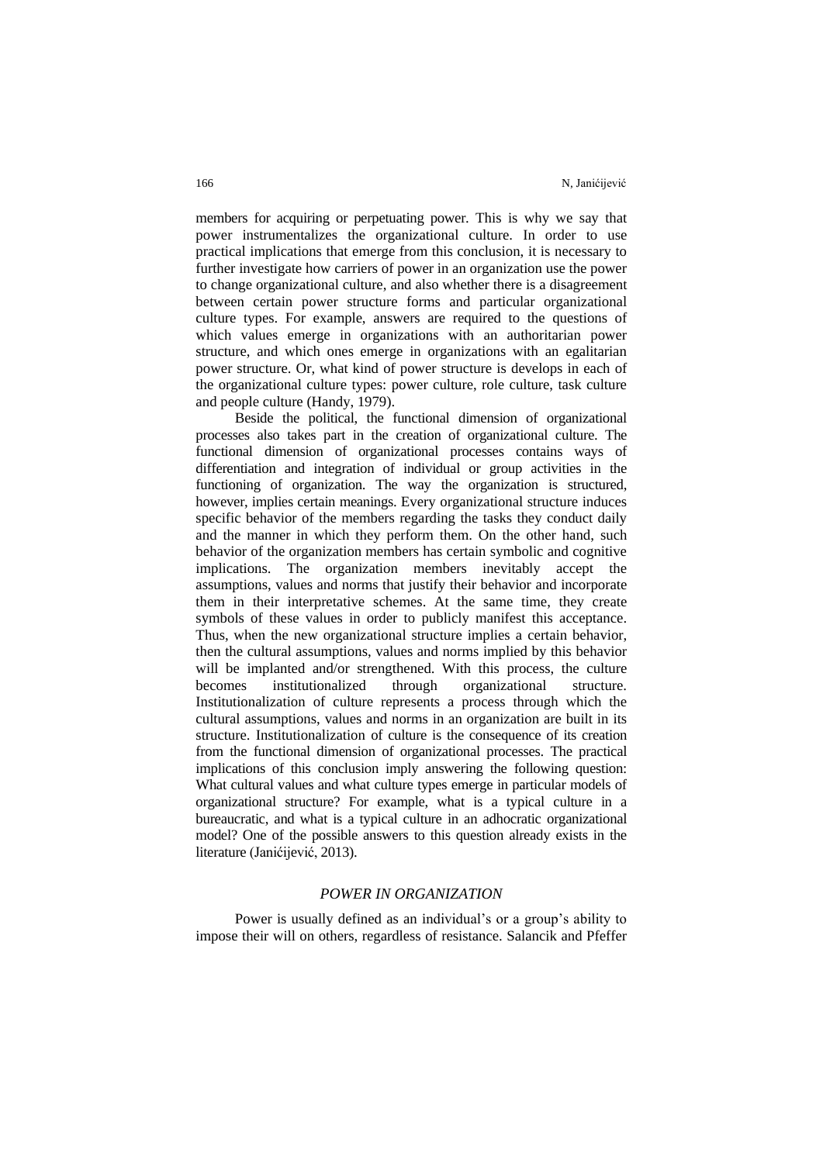members for acquiring or perpetuating power. This is why we say that power instrumentalizes the organizational culture. In order to use practical implications that emerge from this conclusion, it is necessary to further investigate how carriers of power in an organization use the power to change organizational culture, and also whether there is a disagreement between certain power structure forms and particular organizational culture types. For example, answers are required to the questions of which values emerge in organizations with an authoritarian power structure, and which ones emerge in organizations with an egalitarian power structure. Or, what kind of power structure is develops in each of the organizational culture types: power culture, role culture, task culture and people culture (Handy, 1979).

Beside the political, the functional dimension of organizational processes also takes part in the creation of organizational culture. The functional dimension of organizational processes contains ways of differentiation and integration of individual or group activities in the functioning of organization. The way the organization is structured, however, implies certain meanings. Every organizational structure induces specific behavior of the members regarding the tasks they conduct daily and the manner in which they perform them. On the other hand, such behavior of the organization members has certain symbolic and cognitive implications. The organization members inevitably accept the assumptions, values and norms that justify their behavior and incorporate them in their interpretative schemes. At the same time, they create symbols of these values in order to publicly manifest this acceptance. Thus, when the new organizational structure implies a certain behavior, then the cultural assumptions, values and norms implied by this behavior will be implanted and/or strengthened. With this process, the culture becomes institutionalized through organizational structure. Institutionalization of culture represents a process through which the cultural assumptions, values and norms in an organization are built in its structure. Institutionalization of culture is the consequence of its creation from the functional dimension of organizational processes. The practical implications of this conclusion imply answering the following question: What cultural values and what culture types emerge in particular models of organizational structure? For example, what is a typical culture in a bureaucratic, and what is a typical culture in an adhocratic organizational model? One of the possible answers to this question already exists in the literature (Janićijević, 2013).

### *POWER IN ORGANIZATION*

Power is usually defined as an individual's or a group's ability to impose their will on others, regardless of resistance. Salancik and Pfeffer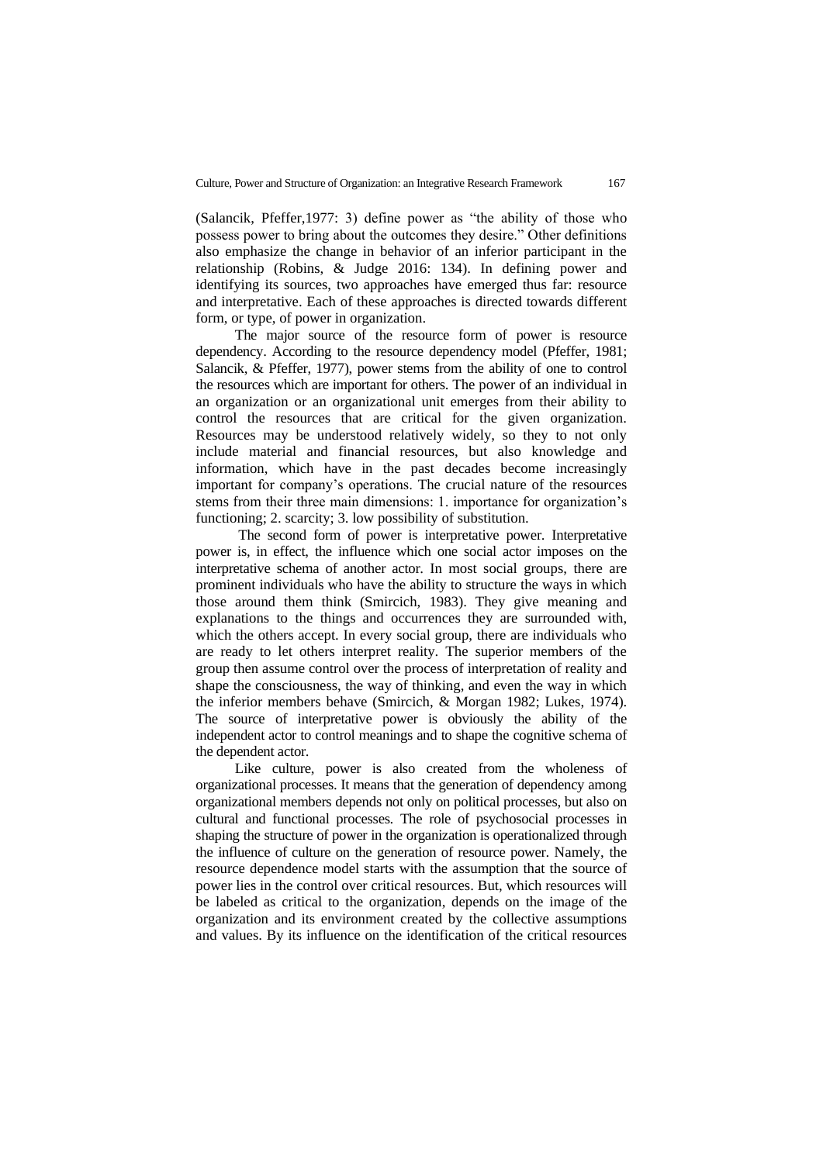(Salancik, Pfeffer,1977: 3) define power as "the ability of those who possess power to bring about the outcomes they desire." Other definitions also emphasize the change in behavior of an inferior participant in the relationship (Robins, & Judge 2016: 134). In defining power and identifying its sources, two approaches have emerged thus far: resource and interpretative. Each of these approaches is directed towards different form, or type, of power in organization.

The major source of the resource form of power is resource dependency. According to the resource dependency model (Pfeffer, 1981; Salancik, & Pfeffer, 1977), power stems from the ability of one to control the resources which are important for others. The power of an individual in an organization or an organizational unit emerges from their ability to control the resources that are critical for the given organization. Resources may be understood relatively widely, so they to not only include material and financial resources, but also knowledge and information, which have in the past decades become increasingly important for company's operations. The crucial nature of the resources stems from their three main dimensions: 1. importance for organization's functioning; 2. scarcity; 3. low possibility of substitution.

The second form of power is interpretative power. Interpretative power is, in effect, the influence which one social actor imposes on the interpretative schema of another actor. In most social groups, there are prominent individuals who have the ability to structure the ways in which those around them think (Smircich, 1983). They give meaning and explanations to the things and occurrences they are surrounded with, which the others accept. In every social group, there are individuals who are ready to let others interpret reality. The superior members of the group then assume control over the process of interpretation of reality and shape the consciousness, the way of thinking, and even the way in which the inferior members behave (Smircich, & Morgan 1982; Lukes, 1974). The source of interpretative power is obviously the ability of the independent actor to control meanings and to shape the cognitive schema of the dependent actor.

Like culture, power is also created from the wholeness of organizational processes. It means that the generation of dependency among organizational members depends not only on political processes, but also on cultural and functional processes. The role of psychosocial processes in shaping the structure of power in the organization is operationalized through the influence of culture on the generation of resource power. Namely, the resource dependence model starts with the assumption that the source of power lies in the control over critical resources. But, which resources will be labeled as critical to the organization, depends on the image of the organization and its environment created by the collective assumptions and values. By its influence on the identification of the critical resources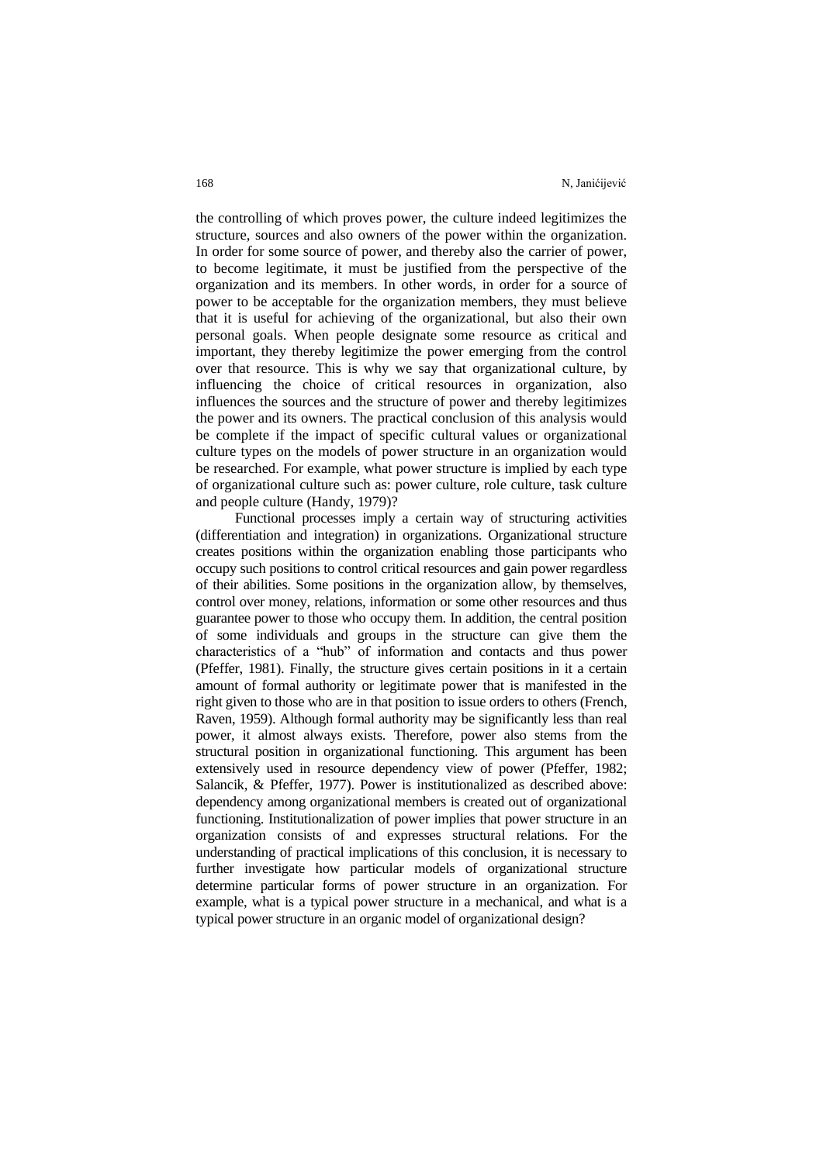the controlling of which proves power, the culture indeed legitimizes the structure, sources and also owners of the power within the organization. In order for some source of power, and thereby also the carrier of power, to become legitimate, it must be justified from the perspective of the organization and its members. In other words, in order for a source of power to be acceptable for the organization members, they must believe that it is useful for achieving of the organizational, but also their own personal goals. When people designate some resource as critical and important, they thereby legitimize the power emerging from the control over that resource. This is why we say that organizational culture, by influencing the choice of critical resources in organization, also influences the sources and the structure of power and thereby legitimizes the power and its owners. The practical conclusion of this analysis would be complete if the impact of specific cultural values or organizational culture types on the models of power structure in an organization would be researched. For example, what power structure is implied by each type of organizational culture such as: power culture, role culture, task culture and people culture (Handy, 1979)?

Functional processes imply a certain way of structuring activities (differentiation and integration) in organizations. Organizational structure creates positions within the organization enabling those participants who occupy such positions to control critical resources and gain power regardless of their abilities. Some positions in the organization allow, by themselves, control over money, relations, information or some other resources and thus guarantee power to those who occupy them. In addition, the central position of some individuals and groups in the structure can give them the characteristics of a "hub" of information and contacts and thus power (Pfeffer, 1981). Finally, the structure gives certain positions in it a certain amount of formal authority or legitimate power that is manifested in the right given to those who are in that position to issue orders to others (French, Raven, 1959). Although formal authority may be significantly less than real power, it almost always exists. Therefore, power also stems from the structural position in organizational functioning. This argument has been extensively used in resource dependency view of power (Pfeffer, 1982; Salancik, & Pfeffer, 1977). Power is institutionalized as described above: dependency among organizational members is created out of organizational functioning. Institutionalization of power implies that power structure in an organization consists of and expresses structural relations. For the understanding of practical implications of this conclusion, it is necessary to further investigate how particular models of organizational structure determine particular forms of power structure in an organization. For example, what is a typical power structure in a mechanical, and what is a typical power structure in an organic model of organizational design?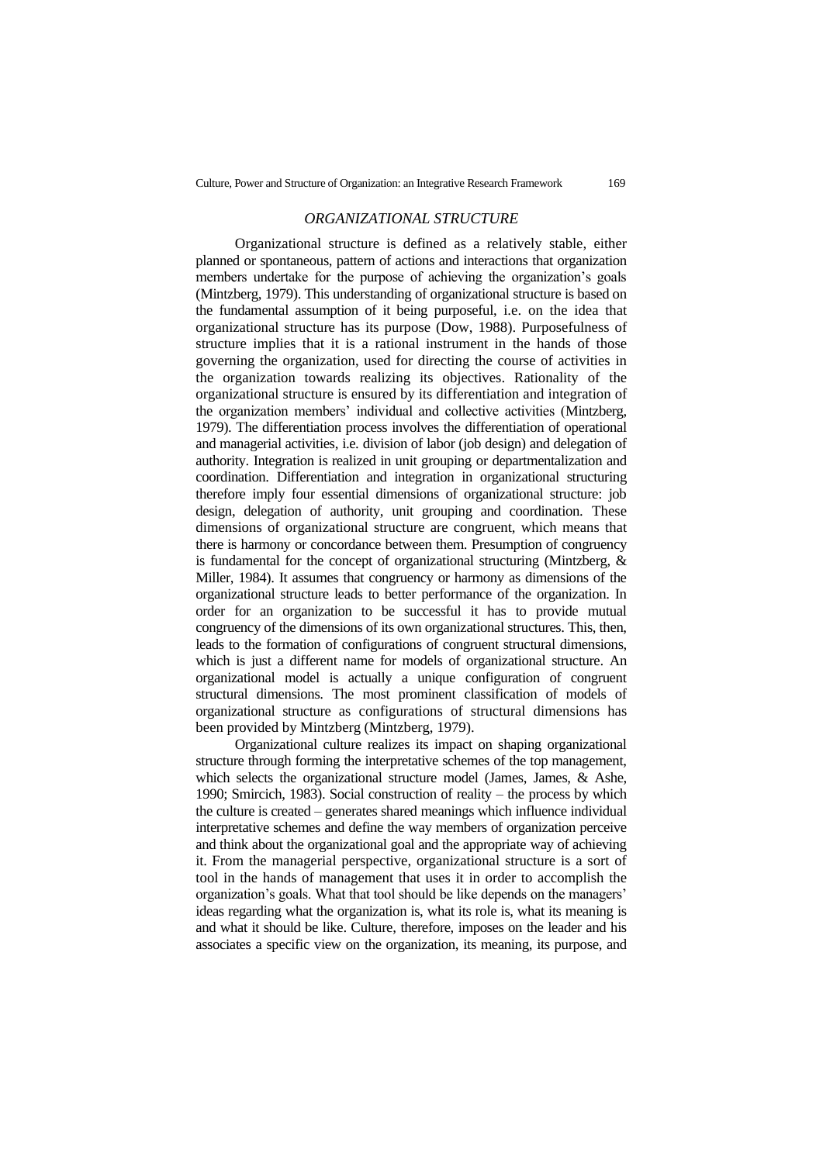### *ORGANIZATIONAL STRUCTURE*

Organizational structure is defined as a relatively stable, either planned or spontaneous, pattern of actions and interactions that organization members undertake for the purpose of achieving the organization's goals (Mintzberg, 1979). This understanding of organizational structure is based on the fundamental assumption of it being purposeful, i.e. on the idea that organizational structure has its purpose (Dow, 1988). Purposefulness of structure implies that it is a rational instrument in the hands of those governing the organization, used for directing the course of activities in the organization towards realizing its objectives. Rationality of the organizational structure is ensured by its differentiation and integration of the organization members' individual and collective activities (Mintzberg, 1979). The differentiation process involves the differentiation of operational and managerial activities, i.e. division of labor (job design) and delegation of authority. Integration is realized in unit grouping or departmentalization and coordination. Differentiation and integration in organizational structuring therefore imply four essential dimensions of organizational structure: job design, delegation of authority, unit grouping and coordination. These dimensions of organizational structure are congruent, which means that there is harmony or concordance between them. Presumption of congruency is fundamental for the concept of organizational structuring (Mintzberg, & Miller, 1984). It assumes that congruency or harmony as dimensions of the organizational structure leads to better performance of the organization. In order for an organization to be successful it has to provide mutual congruency of the dimensions of its own organizational structures. This, then, leads to the formation of configurations of congruent structural dimensions, which is just a different name for models of organizational structure. An organizational model is actually a unique configuration of congruent structural dimensions. The most prominent classification of models of organizational structure as configurations of structural dimensions has been provided by Mintzberg (Mintzberg, 1979).

Organizational culture realizes its impact on shaping organizational structure through forming the interpretative schemes of the top management, which selects the organizational structure model (James, James, & Ashe, 1990; Smircich, 1983). Social construction of reality – the process by which the culture is created – generates shared meanings which influence individual interpretative schemes and define the way members of organization perceive and think about the organizational goal and the appropriate way of achieving it. From the managerial perspective, organizational structure is a sort of tool in the hands of management that uses it in order to accomplish the organization's goals. What that tool should be like depends on the managers' ideas regarding what the organization is, what its role is, what its meaning is and what it should be like. Culture, therefore, imposes on the leader and his associates a specific view on the organization, its meaning, its purpose, and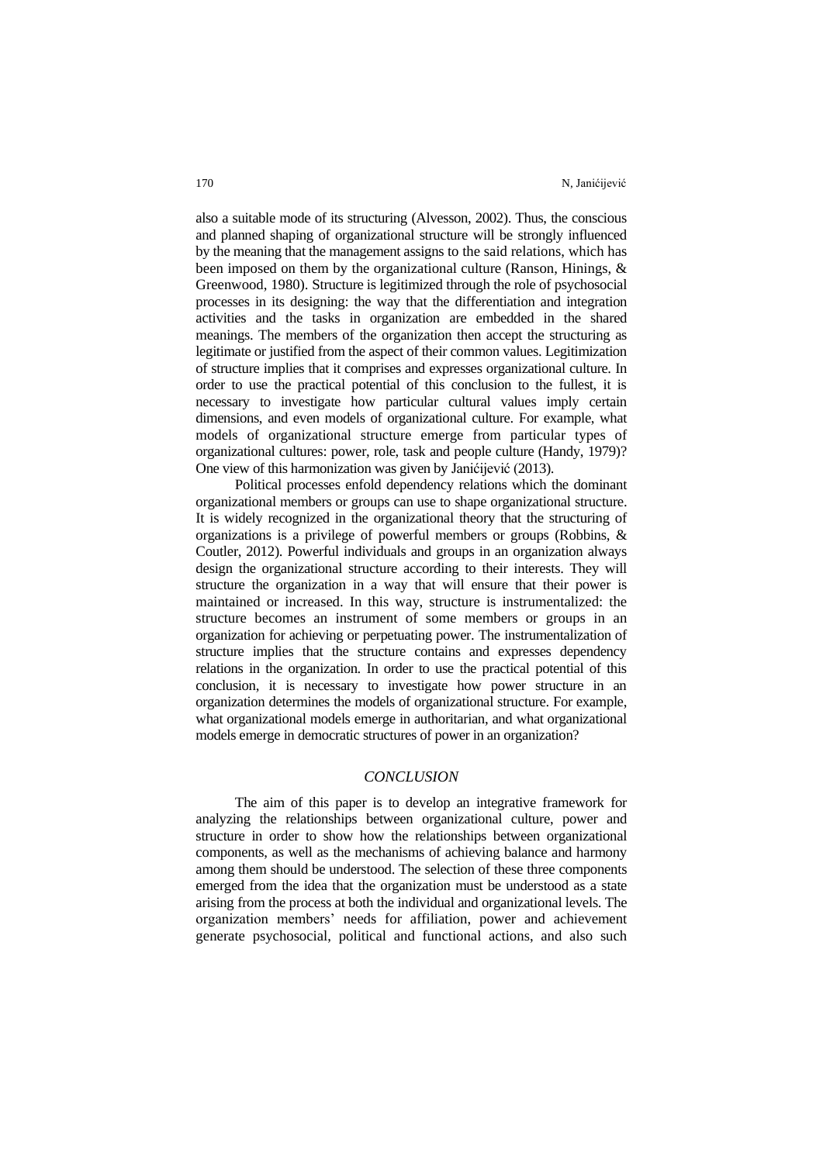also a suitable mode of its structuring (Alvesson, 2002). Thus, the conscious and planned shaping of organizational structure will be strongly influenced by the meaning that the management assigns to the said relations, which has been imposed on them by the organizational culture (Ranson, Hinings, & Greenwood, 1980). Structure is legitimized through the role of psychosocial processes in its designing: the way that the differentiation and integration activities and the tasks in organization are embedded in the shared meanings. The members of the organization then accept the structuring as legitimate or justified from the aspect of their common values. Legitimization of structure implies that it comprises and expresses organizational culture. In order to use the practical potential of this conclusion to the fullest, it is necessary to investigate how particular cultural values imply certain dimensions, and even models of organizational culture. For example, what models of organizational structure emerge from particular types of organizational cultures: power, role, task and people culture (Handy, 1979)? One view of this harmonization was given by Janićijević (2013).

Political processes enfold dependency relations which the dominant organizational members or groups can use to shape organizational structure. It is widely recognized in the organizational theory that the structuring of organizations is a privilege of powerful members or groups (Robbins, & Coutler, 2012). Powerful individuals and groups in an organization always design the organizational structure according to their interests. They will structure the organization in a way that will ensure that their power is maintained or increased. In this way, structure is instrumentalized: the structure becomes an instrument of some members or groups in an organization for achieving or perpetuating power. The instrumentalization of structure implies that the structure contains and expresses dependency relations in the organization. In order to use the practical potential of this conclusion, it is necessary to investigate how power structure in an organization determines the models of organizational structure. For example, what organizational models emerge in authoritarian, and what organizational models emerge in democratic structures of power in an organization?

## *CONCLUSION*

The aim of this paper is to develop an integrative framework for analyzing the relationships between organizational culture, power and structure in order to show how the relationships between organizational components, as well as the mechanisms of achieving balance and harmony among them should be understood. The selection of these three components emerged from the idea that the organization must be understood as a state arising from the process at both the individual and organizational levels. The organization members' needs for affiliation, power and achievement generate psychosocial, political and functional actions, and also such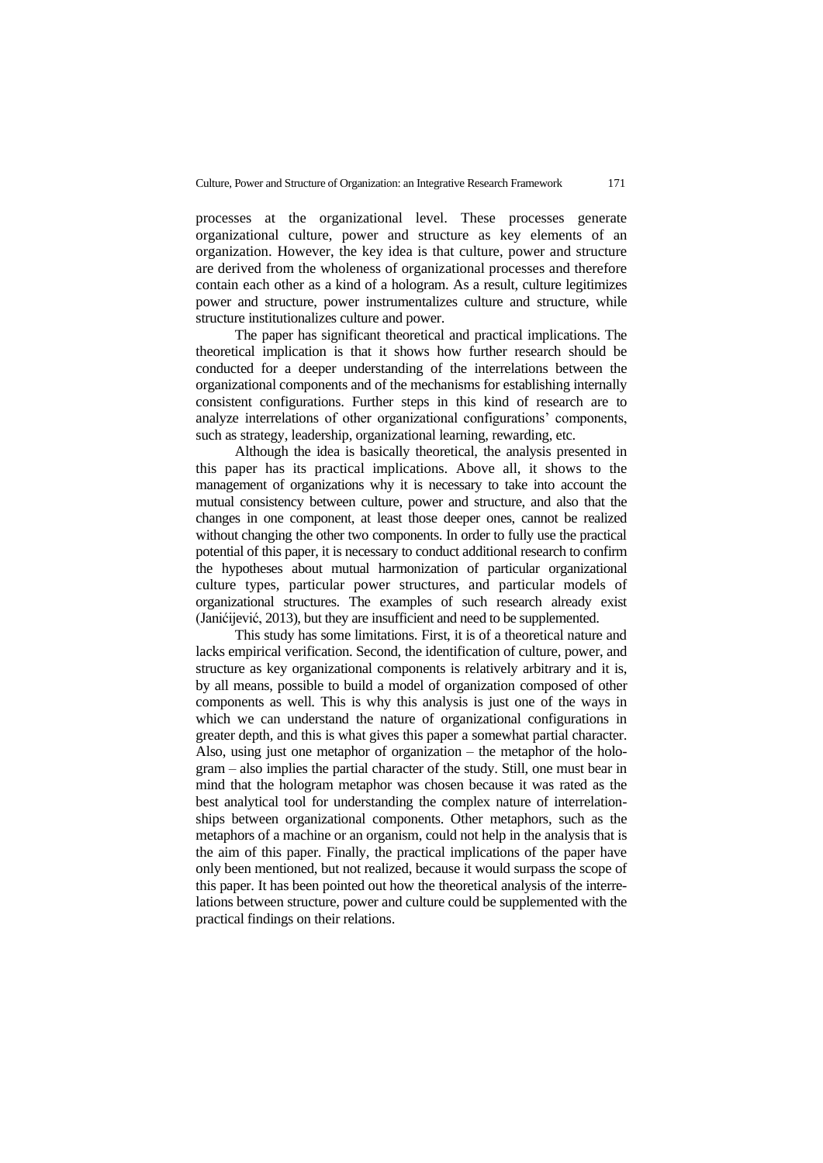processes at the organizational level. These processes generate organizational culture, power and structure as key elements of an organization. However, the key idea is that culture, power and structure are derived from the wholeness of organizational processes and therefore contain each other as a kind of a hologram. As a result, culture legitimizes power and structure, power instrumentalizes culture and structure, while structure institutionalizes culture and power.

The paper has significant theoretical and practical implications. The theoretical implication is that it shows how further research should be conducted for a deeper understanding of the interrelations between the organizational components and of the mechanisms for establishing internally consistent configurations. Further steps in this kind of research are to analyze interrelations of other organizational configurations' components, such as strategy, leadership, organizational learning, rewarding, etc.

Although the idea is basically theoretical, the analysis presented in this paper has its practical implications. Above all, it shows to the management of organizations why it is necessary to take into account the mutual consistency between culture, power and structure, and also that the changes in one component, at least those deeper ones, cannot be realized without changing the other two components. In order to fully use the practical potential of this paper, it is necessary to conduct additional research to confirm the hypotheses about mutual harmonization of particular organizational culture types, particular power structures, and particular models of organizational structures. The examples of such research already exist (Janićijević, 2013), but they are insufficient and need to be supplemented.

This study has some limitations. First, it is of a theoretical nature and lacks empirical verification. Second, the identification of culture, power, and structure as key organizational components is relatively arbitrary and it is, by all means, possible to build a model of organization composed of other components as well. This is why this analysis is just one of the ways in which we can understand the nature of organizational configurations in greater depth, and this is what gives this paper a somewhat partial character. Also, using just one metaphor of organization – the metaphor of the hologram – also implies the partial character of the study. Still, one must bear in mind that the hologram metaphor was chosen because it was rated as the best analytical tool for understanding the complex nature of interrelationships between organizational components. Other metaphors, such as the metaphors of a machine or an organism, could not help in the analysis that is the aim of this paper. Finally, the practical implications of the paper have only been mentioned, but not realized, because it would surpass the scope of this paper. It has been pointed out how the theoretical analysis of the interrelations between structure, power and culture could be supplemented with the practical findings on their relations.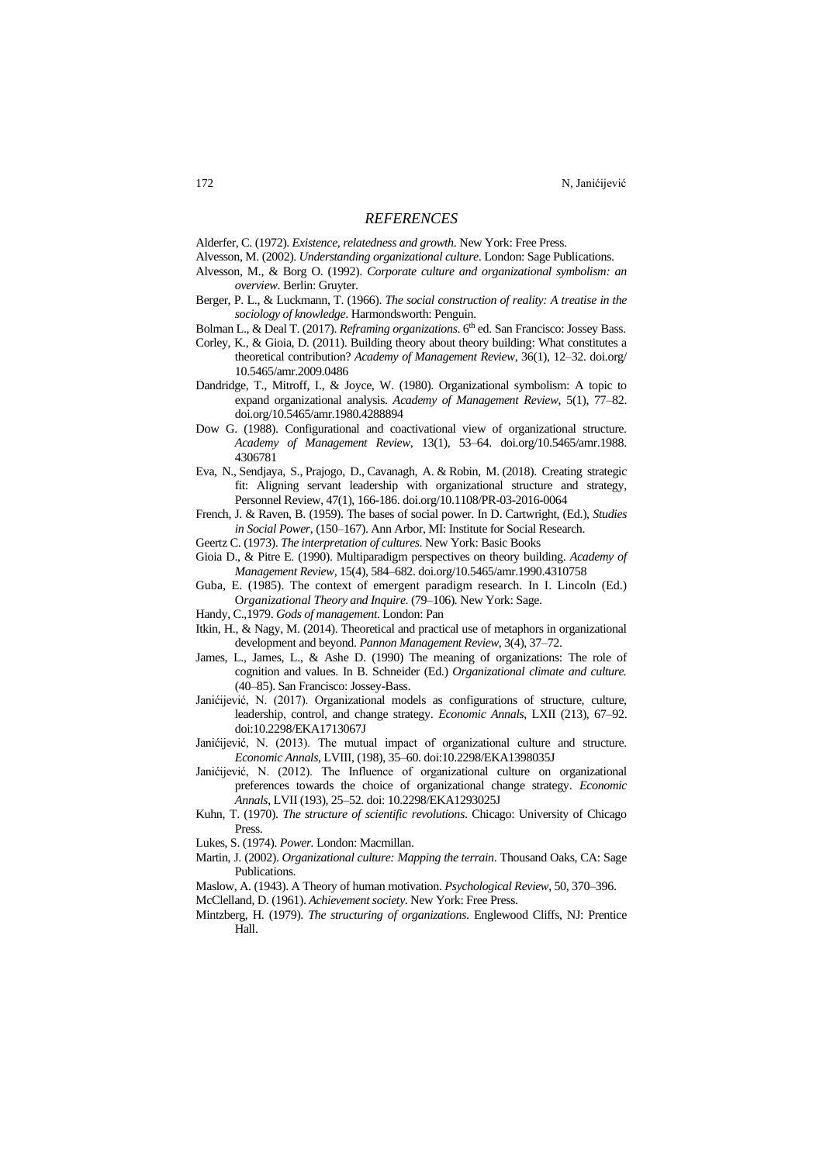### *REFERENCES*

Alderfer, C. (1972). *Existence, relatedness and growth*. New York: Free Press.

- Alvesson, M. (2002). *Understanding organizational culture*. London: Sage Publications.
- Alvesson, M., & Borg O. (1992). *Corporate culture and organizational symbolism: an overview*. Berlin: Gruyter.
- Berger, P. L., & Luckmann, T. (1966). *The social construction of reality: A treatise in the sociology of knowledge*. Harmondsworth: Penguin.

Bolman L., & Deal T. (2017). *Reframing organizations*. 6<sup>th</sup> ed. San Francisco: Jossey Bass.

- Corley, K., & Gioia, D. (2011). [Building theory about theory building: What constitutes a](https://journals.aom.org/doi/full/10.5465/amr.2009.0486)  [theoretical contribution?](https://journals.aom.org/doi/full/10.5465/amr.2009.0486) *[Academy of Management Review](https://journals.aom.org/journal/amr)*, [36\(1\)](https://journals.aom.org/toc/amr/36/1), 12–32. [doi.org/](https://doi.org/10.5465/amr.2009.0486) [10.5465/amr.2009.0486](https://doi.org/10.5465/amr.2009.0486)
- Dandridge, T., Mitroff, I., & Joyce, W. (1980). Organizational symbolism: A topic to expand organizational analysis. *Academy of Management Review*, 5(1), 77–82. [doi.org/10.5465/amr.1980.4288894](https://doi.org/10.5465/amr.1980.4288894)
- Dow G. (1988). Configurational and coactivational view of organizational structure. *Academy of Management Review*, 13(1), 53–64. [doi.org/10.5465/amr.1988.](https://doi.org/10.5465/amr.1988.4306781) [4306781](https://doi.org/10.5465/amr.1988.4306781)
- [Eva, N.,](https://www.emerald.com/insight/search?q=Nathan%20Eva) [Sendjaya, S.,](https://www.emerald.com/insight/search?q=Sen%20Sendjaya) [Prajogo, D.,](https://www.emerald.com/insight/search?q=Daniel%20Prajogo) [Cavanagh, A.](https://www.emerald.com/insight/search?q=Andrew%20Cavanagh) & [Robin, M.](https://www.emerald.com/insight/search?q=Mulyadi%20Robin) (2018). Creating strategic fit: Aligning servant leadership with organizational structure and strategy, [Personnel Review,](https://www.emerald.com/insight/publication/issn/0048-3486) 47(1), 166-186. [doi.org/10.1108/PR-03-2016-0064](https://doi.org/10.1108/PR-03-2016-0064)
- French, J. & Raven, B. (1959). The bases of social power. In D. Cartwright, (Ed.), *Studies in Social Power*, (150–167). Ann Arbor, MI: Institute for Social Research.
- Geertz C. (1973). *The interpretation of cultures*. New York: Basic Books
- Gioia D., & Pitre E. (1990). Multiparadigm perspectives on theory building. *Academy of Management Review*, 15(4), 584–682. [doi.org/10.5465/amr.1990.4310758](https://doi.org/10.5465/amr.1990.4310758)
- Guba, E. (1985). The context of emergent paradigm research. In I. Lincoln (Ed.) O*rganizational Theory and Inquire*. (79–106)*.* New York: Sage.
- Handy, C.,1979. *Gods of management*. London: Pan
- Itkin, H., & Nagy, M. (2014). Theoretical and practical use of metaphors in organizational development and beyond. *Pannon Management Review*, 3(4), 37–72.
- James, L., James, L., & Ashe D. (1990) The meaning of organizations: The role of cognition and values. In B. Schneider (Ed.) *Organizational climate and culture.*  (40–85). San Francisco: Jossey-Bass.
- Janićijević, N. (2017). Organizational models as configurations of structure, culture, leadership, control, and change strategy. *Economic Annals*, LXII (213), 67–92. doi:10.2298/EKA1713067J
- Janićijević, N. (2013). The mutual impact of organizational culture and structure. *Economic Annals*, LVIII, (198), 35–60. doi:10.2298/EKA1398035J
- Janićijević, N. (2012). The Influence of organizational culture on organizational preferences towards the choice of organizational change strategy. *Economic Annals*, LVII (193), 25–52. doi: 10.2298/EKA1293025J
- Kuhn, T. (1970). *The structure of scientific revolutions*. Chicago: University of Chicago Press.

Lukes, S. (1974). *Power.* London: Macmillan.

Martin, J. (2002). *Organizational culture: Mapping the terrain*. Thousand Oaks, CA: Sage Publications.

Maslow, A. (1943). A Theory of human motivation. *Psychological Review*, 50, 370–396.

- McClelland, D. (1961). *Achievement society*. New York: Free Press.
- Mintzberg, H. (1979). *The structuring of organizations*. Englewood Cliffs, NJ: Prentice Hall.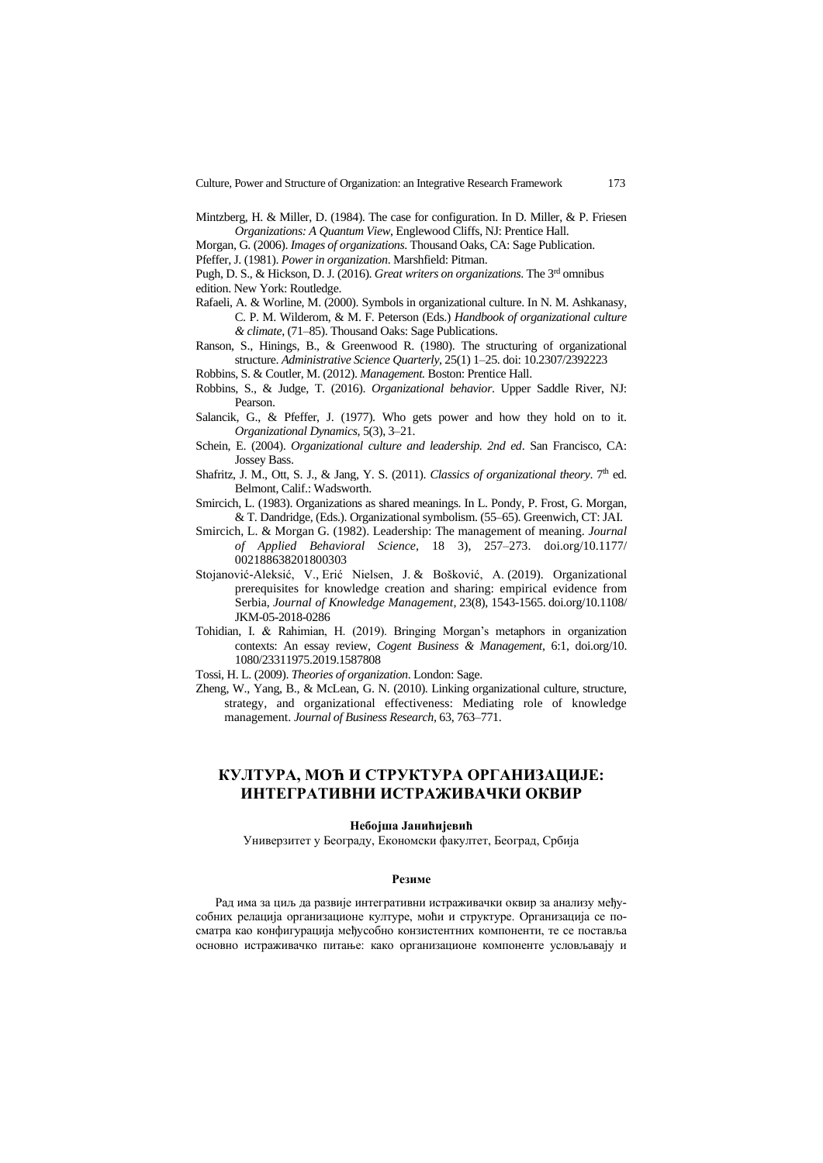- Mintzberg, H. & Miller, D. (1984). The case for configuration. In D. Miller, & P. Friesen *Organizations: A Quantum View*, Englewood Cliffs, NJ: Prentice Hall.
- Morgan, G. (2006). *Images of organizations*. Thousand Oaks, CA: Sage Publication.
- Pfeffer, J. (1981). *Power in organization*. Marshfield: Pitman.
- Pugh, D. S., & Hickson, D. J. (2016). *Great writers on organizations*. The 3 rd omnibus edition. New York: Routledge.
- Rafaeli, A. & Worline, M. (2000). Symbols in organizational culture. In N. M. Ashkanasy, C. P. M. Wilderom, & M. F. Peterson (Eds.) *Handbook of organizational culture & climate*, (71–85). Thousand Oaks: Sage Publications.
- Ranson, S., Hinings, B., & Greenwood R. (1980). The structuring of organizational structure. *Administrative Science Quarterly*, 25(1) 1–25. doi: 10.2307/2392223
- Robbins, S. & Coutler, M. (2012). *Management.* Boston: Prentice Hall.
- Robbins, S., & Judge, T. (2016). *Organizational behavior*. Upper Saddle River, NJ: Pearson.
- Salancik, G., & Pfeffer, J. (1977). Who gets power and how they hold on to it. *Organizational Dynamics,* 5(3), 3–21.
- Schein, E. (2004). *Organizational culture and leadership. 2nd ed*. San Francisco, CA: Jossey Bass.
- Shafritz, J. M., Ott, S. J., & Jang, Y. S. (2011). *Classics of organizational theory*. 7<sup>th</sup> ed. Belmont, Calif.: Wadsworth.
- Smircich, L. (1983). Organizations as shared meanings. In L. Pondy, P. Frost, G. Morgan, & T. Dandridge, (Eds.). Organizational symbolism. (55–65). Greenwich, CT: JAI.
- Smircich, L. & Morgan G. (1982). Leadership: The management of meaning. *Journal of Applied Behavioral Science*, 18 3), 257–273. [doi.org/10.1177/](https://doi.org/10.1177%2F002188638201800303) [002188638201800303](https://doi.org/10.1177%2F002188638201800303)
- [Stojanović-Aleksić, V.,](https://www.emerald.com/insight/search?q=Vesna%20Stojanovi%C4%87-Aleksi%C4%87) [Erić Nielsen, J.](https://www.emerald.com/insight/search?q=Jelena%20Eri%C4%87%20Nielsen) & [Bošković, A.](https://www.emerald.com/insight/search?q=Aleksandra%20Bo%C5%A1kovi%C4%87) (2019). Organizational prerequisites for knowledge creation and sharing: empirical evidence from Serbia, *[Journal of Knowledge Management,](https://www.emerald.com/insight/publication/issn/1367-3270)* 23(8), 1543-1565. [doi.org/10.1108/](https://doi.org/10.1108/JKM-05-2018-0286) [JKM-05-2018-0286](https://doi.org/10.1108/JKM-05-2018-0286)
- Tohidian, I. & Rahimian, H. (2019). Bringing Morgan's metaphors in organization contexts: An essay review, *Cogent Business & Management*, 6:1, [doi.org/10.](https://doi.org/10.1080/23311975.2019.1587808) [1080/23311975.2019.1587808](https://doi.org/10.1080/23311975.2019.1587808)
- Tossi, H. L. (2009). *Theories of organization*. London: Sage.
- Zheng, W., Yang, B., & McLean, G. N. (2010). Linking organizational culture, structure, strategy, and organizational effectiveness: Mediating role of knowledge management. *Journal of Business Research,* 63, 763–771.

## **КУЛТУРА, МОЋ И СТРУКТУРА ОРГАНИЗАЦИЈЕ: ИНТЕГРАТИВНИ ИСТРАЖИВАЧКИ ОКВИР**

#### **Небојша Јанићијевић**

Универзитет у Београду, Економски факултет, Београд, Србија

#### **Резиме**

Рад има за циљ да развије интегративни истраживачки оквир за анализу међусобних релација организационе културе, моћи и структуре. Организација се посматра као конфигурација међусобно конзистентних компоненти, те се поставља основно истраживачко питање: како организационе компоненте условљавају и